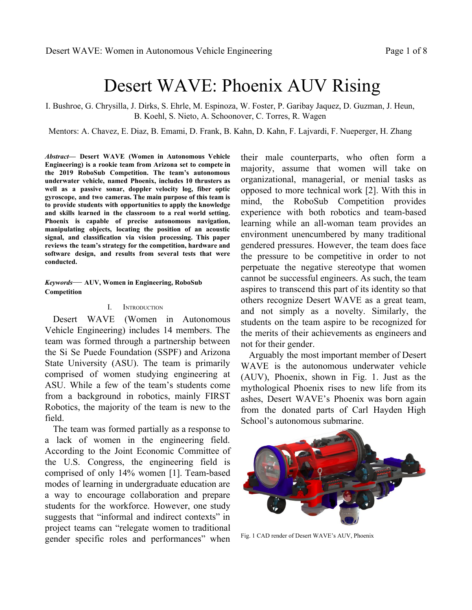# Desert WAVE: Phoenix AUV Rising

I. Bushroe, G. Chrysilla, J. Dirks, S. Ehrle, M. Espinoza, W. Foster, P. Garibay Jaquez, D. Guzman, J. Heun, B. Koehl, S. Nieto, A. Schoonover, C. Torres, R. Wagen

Mentors: A. Chavez, E. Diaz, B. Emami, D. Frank, B. Kahn, D. Kahn, F. Lajvardi, F. Nueperger, H. Zhang

*Abstract***— Desert WAVE (Women in Autonomous Vehicle Engineering) is a rookie team from Arizona set to compete in the 2019 RoboSub Competition. The team's autonomous underwater vehicle, named Phoenix, includes 10 thrusters as well as a passive sonar, doppler velocity log, fiber optic gyroscope, and two cameras. The main purpose of this team is to provide students with opportunities to apply the knowledge and skills learned in the classroom to a real world setting. Phoenix is capable of precise autonomous navigation, manipulating objects, locating the position of an acoustic signal, and classification via vision processing. This paper reviews the team's strategy for the competition, hardware and software design, and results from several tests that were conducted.**

*Keywords*— **AUV, Women in Engineering, RoboSub Competition**

#### I. INTRODUCTION

Desert WAVE (Women in Autonomous Vehicle Engineering) includes 14 members. The team was formed through a partnership between the Si Se Puede Foundation (SSPF) and Arizona State University (ASU). The team is primarily comprised of women studying engineering at ASU. While a few of the team's students come from a background in robotics, mainly FIRST Robotics, the majority of the team is new to the field.

The team was formed partially as a response to a lack of women in the engineering field. According to the Joint Economic Committee of the U.S. Congress, the engineering field is comprised of only 14% women [1]. Team-based modes of learning in undergraduate education are a way to encourage collaboration and prepare students for the workforce. However, one study suggests that "informal and indirect contexts" in project teams can "relegate women to traditional gender specific roles and performances" when

their male counterparts, who often form a majority, assume that women will take on organizational, managerial, or menial tasks as opposed to more technical work [2]. With this in mind, the RoboSub Competition provides experience with both robotics and team-based learning while an all-woman team provides an environment unencumbered by many traditional gendered pressures. However, the team does face the pressure to be competitive in order to not perpetuate the negative stereotype that women cannot be successful engineers. As such, the team aspires to transcend this part of its identity so that others recognize Desert WAVE as a great team, and not simply as a novelty. Similarly, the students on the team aspire to be recognized for the merits of their achievements as engineers and not for their gender.

Arguably the most important member of Desert WAVE is the autonomous underwater vehicle (AUV), Phoenix, shown in Fig. 1. Just as the mythological Phoenix rises to new life from its ashes, Desert WAVE's Phoenix was born again from the donated parts of Carl Hayden High School's autonomous submarine.



Fig. 1 CAD render of Desert WAVE's AUV, Phoenix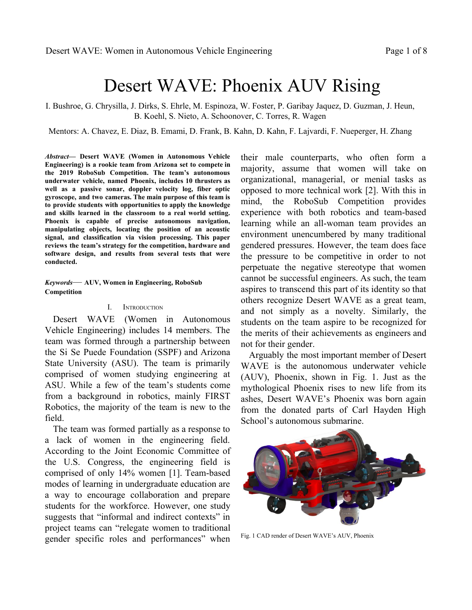# II. COMPETITION STRATEGY

Desert WAVE's team primarily consists of freshman engineering students. As such, the 2019 RoboSub Competition will be many members' first robotics competition. Walking into this season, Desert WAVE's strategy was to minimize manufacturing time to maximize time for testing and developing the skills necessary to form the foundation of a competitive team for years to come. Tasks deemed essential for this year were:

- Getting in the water as fast as possible
- Integrating the fiber optic gyroscope (FOG), doppler velocity log (DVL), and passive sonar
- Collecting data (videos, logs, images) in preparation for next year's competition

Desert WAVE chose to design the AUV as a minimum viable product. Therefore, non-critical elements were added post-initial construction for integration into the main system. The majority of Phoenix was constructed using commercial-off-the-shelf (COTS) components. Parts that needed to be custom-made were designed using SolidWorks and 3D printed. This method of fabrication simplified the AUV construction since no members held manufacturing experience prior to joining the team.

Early on in the design process, the team realized it would not be possible for the AUV to function at a high level for all tasks. Therefore, the team analyzed the mission rules to determine how to obtain the maximum number of points given the team's limited experience and resources. Consequently, the team focused on developing systems for navigation, vision, and mobility. With these systems alone, Phoenix can earn points for passing through the gate, following the path markers, hitting a buoy, navigating to the pinger, surfacing in the octagon, and completing the run before the allotted time. The AUV was designed to be upgradeable which allows for the implementation of add-on components such as a marker dropper and torpedo launcher.

## III. DESIGN CREATIVITY"

# $CO$  *O gej cpkecn"*

Phoenix is designed to grow with the experience of the team. The frame, designed in SolidWorks, was manufactured using a computer numerical control (CNC) router. Key elements accounted for in the design were the placement of a wide angle downward facing camera, incorporating rounded features into the frame design to prevent the robot from unintentionally catching on external objects in the water, and the integration of four independent pressure vessels. The pressure vessels include two battery pods, housing for the DVL, and the main hull. All pods are made of clear acrylic tubes to allow for visual feedback from the electronics. Additional holes were placed on the frame in preparation for upgrades.

Phoenix was designed with fault tolerance in mind. The AUV is outfitted with ten thrusters for six degrees of freedom control. This level of redundancy means that if one thruster fails, Phoenix can still potentially complete the current mission and navigate safely to the surface. Not only do the additional thrusters add to the redundancy of the controls, but they also allow the AUV to move forward at a top speed of 1.2*o lu*. In addition to the four thrusters in the surge direction, thrust in the heave direction is also controlled by four thrusters. The final two thrusters allow for fine alignment control in the sway direction.

One of the upgrades not considered in the original design was the marker dropper mechanism. In order for the team to qualify for the time bonus, either marker droppers (garlic) or torpedoes (stakes) would need to be successfully deployed during the mission. From both hardware and software perspectives, adding a device to drop markers was seen as a lower technical risk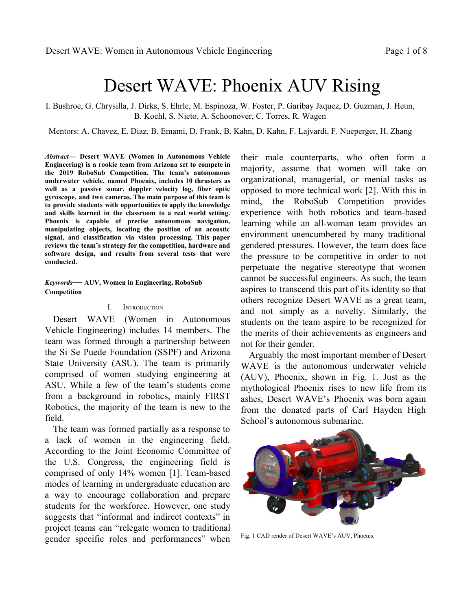than a torpedo launcher. Pinballs were selected as markers and were painted green to make them easier to recover and less likely to corrode. The markers are housed in a 3D printed chamber and a water sprinkler solenoid holds and releases the balls.

The most ambitious mechanical component designed by the team is the internal lattice of the main hull, shown in Fig. 2. The lattice is used to mount all of the major electronic components of the AUV. Similar to the frame, the lattice was intended to be upgradeable. However, the design did not account for the sheer size of the wiring. Although functional, the internal lattice will be the focus of future improvement.



Fig. 2 CAD render of the main hull's internal lattice

## *DO* Grgevt kecn"

Nearly all of the AUV's electronics are housed in a single "main hull. These electrical systems are powered by a single LiPo battery located in a separate battery enclosure. A second battery enclosure is the home of an identical battery that powers the thrusters. Having two independent power supplies ensures that the large currents drawn by the thrusters never impact the performance of the rest of the electronics.

While many of the AUV's electronics are COTS, Desert WAVE designed a number of original printed circuit boards (PCB). The AUV's PID controller is enabled by an Arduino Teensy 3.5 microcontroller. It runs embedded C++ code that handles hardware interfaces, sensor fusion, as well as attitude and depth control. The AUV mainboard is a PCB that was designed and built by the team as a carrier board for this Teensy. It uses streaming packet based communication to control the AUV. Packets are sent containing the current AUV settings, debug info, and/or telemetry data. The AUV mainboard processes and distributes these packets to/from the main mission computer, an NVIDIA's Jetson TX2, which handles the higher-level tasks such as mission management, outer control loops, network communications, vision processing, and data logging.

The FOG assists in navigation, positioning, and maintaining heading of the AUV. This model requires three separate DC power supplies to operate safely:  $+5$  VDC,  $+15$  VDC, and  $-15$ VDC. Additionally, each power supply necessitates a specific powering off and on  $sequence  $O$ As no ready-made power supply exists$ to perform this operation, the team designed and built a custom PCB, seen in Fig. 3, to handle this sequence. It utilizes an Arduino Pro Mini microcontroller and MOSFET switches to control the outputs to the FOG.



Fig. 3 Team designed PCB for the FOG power supply

## $E0$  *Ughy ctg*"

The software system of the AUV uses a combination of algorithms to integrate inputs from the DVL, Subsonus, cameras, and FOG to generate behaviors which are implemented by the thrusters and actuators. In particular, this section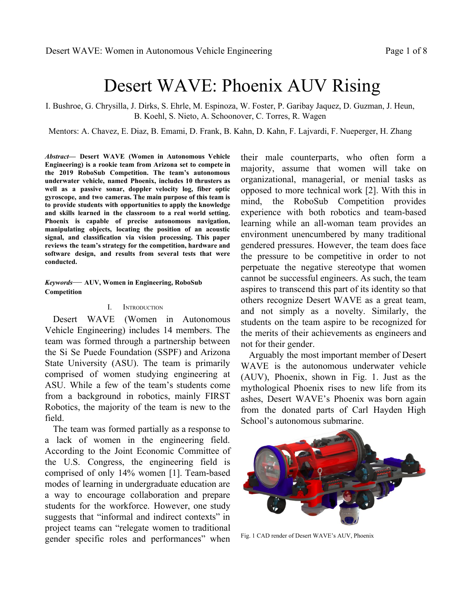highlights two important algorithms: the Mission Planner and vision processing systems.

The Mission Planner allows the AUV to receive a set of commands entered by a user, written in Java. Multiple interfaces allow the Mission Planner to communicate with the Teensy board while transmitting/receiving data packets, such as communication provider, telemetry destination, packet sender, packet destination, and command interfaces. When the Mission Planner is executed, it establishes the AUV settings, reads and displays telemetry data, and allows a user to determine the mission order as well as set each mission configuration. Once the order of missions is determined, a user can turn on the mission enable switch which transmits a set of packet data to the Teensy board embedded in the AUV.

Vision processing allows the AUV to see and classify objects while underwater. Vision processing begins with a stream of video from a MIPI camera which feeds into Darknet's Demo algorithm. Darknet YOLO, hereafter referred to as Darknet, is an algorithm designed to detect and classify a set of objects, as trained by the team prior to processing. Darknet creates a set of coordinates which create a box around the object of detection as shown in Fig. 4. The object's coordinates are then fed into the AUV Command Reader, allowing the AUV to make decisions based on the distance, type of object, and accuracy of object detection.

## III. EXPERIMENTAL RESULTS

In addition to individually testing each component out-of-water, experimental testing centered around three focal points: simulation, acoustics, and buoyancy.

# $CO$  *U<sub>o</sub> wr w*<sub>ap</sub>"

Simulation testing was performed before the initial construction of the physical robot over a course of 20 hours. In parallel, a CAD model was developed in SolidWorks to help predict the center of gravity, buoyancy, thrust, and drag of the AUV. Both linear and quadratic coefficients of drag were considered, yielding a system of differential equations. The simulator, powered by Unity, is a real-time development platform primarily used to test the pre-qualify code while the AUV was still under construction. The simulator mimicked the AUV's thrusters and sensors while simulating autonomous and teleoperated modes.



Fig. 4 Darknet object detection of two team members

## **DO** Ceqwakeu'Vgukpi "

The AUV is able to position itself using acoustics by utilizing a Subsonus hydrophone array [3]. To test the functionality of the Subsonus and the software used to interpret the information it gathers, the team conducted a testing session for six hours. The Subsonus was placed in the center of a pool and an acoustic pinger was moved around to determine what location yielded the least interferences. The best reading came when the pinger was against a wall 0.8*o* away, limiting the amount of reflections. An image of the test setup is shown in Fig. 5. The pinger parameters were  $25m/$ ,  $20u$ ,  $0.5Y$ ; the Subsonus setting was  $20u$ . Additional testing is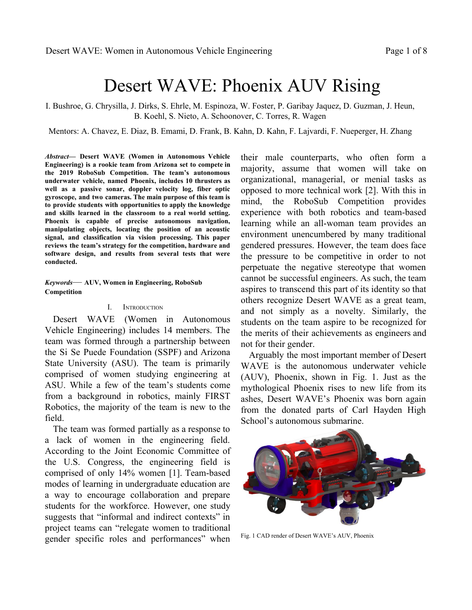required to determine if the reversal of these components will yield different multipaths. Future tests will be conducted in a larger body of water to mitigate the echoing of the pinger against close walls.



Fig. 5 Setup for acoustic experiments

#### $E0$  *Dwq{cpe{'Vguvkpi''*

Buoyancy testing began once the AUV was watertight and all of the main mechanical and electrical components were integrated into the AUV. This testing took approximately three hours over the course of multiple tests. Initial testing revealed that the front end of the AUV was positive. In addition to the large displacement of the 8*kp* hull, the choice to position the hull as far forward as possible, to avoid obstructing the front-facing camera, caused a noticeable amount of pitch upwards.

To combat this, multiple 3D-printed lead shot holders were designed to be attached to the front of the AUV, as shown in Fig. 6. While the magnitude of pitch was minimized, further testing revealed a small amount of pitching was still present. Steel weights were added incrementally to the front and foam sheets to the back to fine tune the final buoyancy and bring the AUV as close to neutral as possible.



Fig. 6 Two of the 3D printed lead shot holders

#### **ACKNOWLEDGMENT**

The members of Desert WAVE are appreciative of the opportunity to compete in the 2019 RoboSub Competition. The success of the team would not be possible without the generous support of numerous sponsors. Desert WAVE would like to include a special note of gratitude to the following:

- Si Se Puede Foundation
- Arizona State University
- Shebbie's Live Life Series
- Carl Hayden High School

Each of these sponsors were gracious in assisting the team with both monetary and material donations. Additionally, Desert WAVE would like to acknowledge the support from the mentors who donated countless hours and expertise to guide the team.

#### **REFERENCES**

- [1] B. Casey, "STEM Education: Preparing for the Jobs of the Future," *WQD' Eqpitgul'' Lqkpv'' Geqpqo ke'' Eqo o kwgg.''* 2012. [Online]. Available: https://www.jec.senate.gov/public/\_cache/ files/6aaa7e1f-9586-47be-82e7-326f47658320/stem-education---pre paring-for-the-jobs-of-the-future-.pdf. [Accessed: July 5, 2019].
- [2] C. Seron, S. Silbey, E. Cech, and B. Rubineau, "Persistence Is Cultural: Professional Socialization and the Reproduction of Sex Segregation," *Y qtm'cpf "Qeewr cvkqpu* vol. 43, no. 2, p. 178–214, Dec. 16, 2015. [Online]. Available: http://hdl.handle.net/1721.1/ 104002. [Accessed: July 4, 2019].
- [3] Advanced Navigation, "Subsonus," *Cf xcpegf "Pcxki cvkqp*."2015. [Online]. Available: https://www.advancednavigation.com/product/ subsonus. [Accessed: July 1, 2019].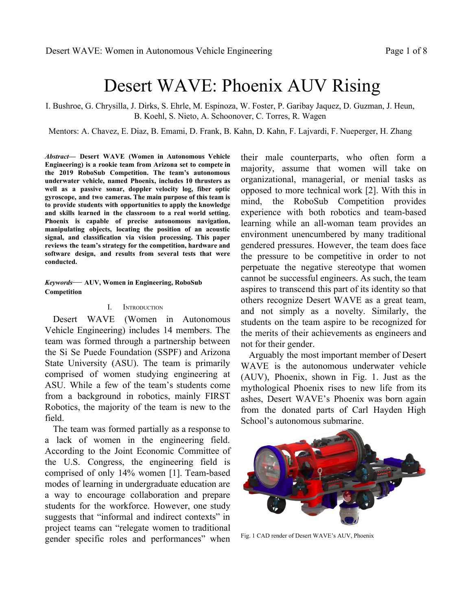|                                                                                            | <b>Subjective Measures</b>               |                                      |  |
|--------------------------------------------------------------------------------------------|------------------------------------------|--------------------------------------|--|
|                                                                                            | <b>Maximum Points</b>                    | <b>Expected Points Points Scored</b> |  |
| Utility of team website                                                                    | 50                                       | 42                                   |  |
| Technical Merit (from journal paper)                                                       | 150                                      | 135                                  |  |
| Written Style (from journal paper)                                                         | 50                                       | 45                                   |  |
| Capability for Autonomous Behavior (static judging)                                        | 100                                      | 90                                   |  |
| Creativity in System Design (static judging)                                               | 100                                      | 85                                   |  |
| Team Uniform (static judging)                                                              | 10                                       | 10                                   |  |
| Team Video                                                                                 | 50                                       | 45                                   |  |
| Pre-Qualifying Video                                                                       | 100                                      | 100                                  |  |
| Discretionary points (static judging)                                                      | 40                                       | 20                                   |  |
| Total                                                                                      | 650                                      | 572                                  |  |
|                                                                                            |                                          |                                      |  |
|                                                                                            | <b>Performance Measures</b>              |                                      |  |
|                                                                                            | <b>Maximum Points</b>                    |                                      |  |
| Weight                                                                                     | See Table 1 / Vehicle                    | $-125$                               |  |
| Marker/Torpedo over weight or size by <10%                                                 | minus 500 / marker                       | $\mathbf{0}$                         |  |
| Gate: Pass through                                                                         | 100                                      | 100                                  |  |
| Gate Maintain fixed heading                                                                | 150                                      | 150                                  |  |
| Gate: Coin Flip                                                                            | 300                                      | 300                                  |  |
| Gate: Pass through 60% section                                                             | 200                                      | $\mathbf{0}$                         |  |
| Gate: Pass through 40% section                                                             | 400                                      | 400                                  |  |
| Gate: Style                                                                                | $+100$ (8x max)                          | 200                                  |  |
| Collect Pickup: Crucifix, Garlic                                                           | 400 / object                             | $\boldsymbol{0}$                     |  |
| Follow the "Path" (2 total)                                                                | $100/$ segment                           | 200                                  |  |
| Slay Vampires: Any, Called                                                                 | 300, 600                                 | 300                                  |  |
| Drop Garlic: Open, Closed                                                                  | 700, 1000 / marker $(2 + \text{pickup})$ | 1400                                 |  |
| Drop Garlic: Move Arm                                                                      | 400                                      | $\mathbf{0}$                         |  |
| Stake through the Heart: Open Oval, Cover Oval, Sm Heart 800, 1000, 1200 / torpedo (max 2) |                                          | $\overline{0}$                       |  |
| Stake through Heart: Mover lever                                                           | 400                                      | $\boldsymbol{0}$                     |  |
| Stake through Heart: Bonus - Cover Oval, Sm Heart                                          | 500                                      | $\mathbf{0}$                         |  |
| Expose to Sunlight: Surface in Area                                                        | 1000                                     | 1000                                 |  |
| Expose to Sunlight: Surface with object                                                    | 400 / object                             | $\boldsymbol{0}$                     |  |
| Expose to Sunlight: Open coffin                                                            | 400                                      | $\mathbf{0}$                         |  |
| Expose to Sunlight: Drop Pickup                                                            | 200 / object (Crucifix only)             | $\boldsymbol{0}$                     |  |
| Random Pinger first task                                                                   | 500                                      | $\mathbf{0}$                         |  |
| Random Pinger second task                                                                  | 1500                                     | $\mathbf{0}$                         |  |
| Inter-vehicle Communication                                                                | 1000                                     | $\boldsymbol{0}$                     |  |
| Finish the mission with T minutes (whole + fractional)                                     | Tx100                                    | 500                                  |  |

APPENDIX A: EXPECTATIONS